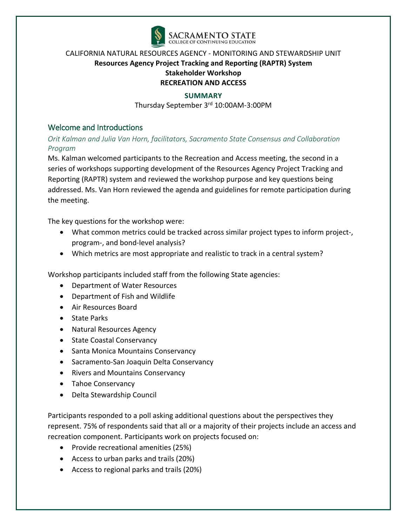

### **SUMMARY**

Thursday September 3rd 10:00AM-3:00PM

# Welcome and Introductions

*Orit Kalman and Julia Van Horn, facilitators, Sacramento State Consensus and Collaboration Program*

Ms. Kalman welcomed participants to the Recreation and Access meeting, the second in a series of workshops supporting development of the Resources Agency Project Tracking and Reporting (RAPTR) system and reviewed the workshop purpose and key questions being addressed. Ms. Van Horn reviewed the agenda and guidelines for remote participation during the meeting.

The key questions for the workshop were:

- What common metrics could be tracked across similar project types to inform project-, program-, and bond-level analysis?
- Which metrics are most appropriate and realistic to track in a central system?

Workshop participants included staff from the following State agencies:

- Department of Water Resources
- Department of Fish and Wildlife
- Air Resources Board
- State Parks
- Natural Resources Agency
- State Coastal Conservancy
- Santa Monica Mountains Conservancy
- Sacramento-San Joaquin Delta Conservancy
- Rivers and Mountains Conservancy
- Tahoe Conservancy
- Delta Stewardship Council

Participants responded to a poll asking additional questions about the perspectives they represent. 75% of respondents said that all or a majority of their projects include an access and recreation component. Participants work on projects focused on:

- Provide recreational amenities (25%)
- Access to urban parks and trails (20%)
- Access to regional parks and trails (20%)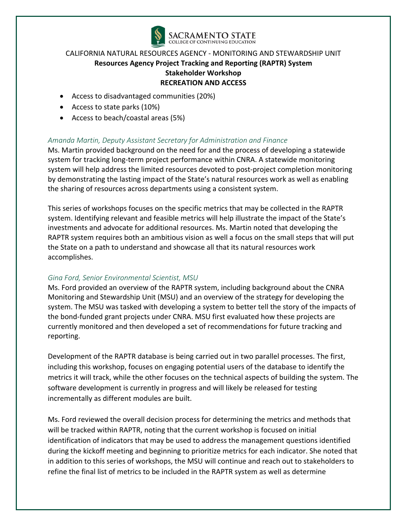

- Access to disadvantaged communities (20%)
- Access to state parks (10%)
- Access to beach/coastal areas (5%)

# *Amanda Martin, Deputy Assistant Secretary for Administration and Finance*

Ms. Martin provided background on the need for and the process of developing a statewide system for tracking long-term project performance within CNRA. A statewide monitoring system will help address the limited resources devoted to post-project completion monitoring by demonstrating the lasting impact of the State's natural resources work as well as enabling the sharing of resources across departments using a consistent system.

This series of workshops focuses on the specific metrics that may be collected in the RAPTR system. Identifying relevant and feasible metrics will help illustrate the impact of the State's investments and advocate for additional resources. Ms. Martin noted that developing the RAPTR system requires both an ambitious vision as well a focus on the small steps that will put the State on a path to understand and showcase all that its natural resources work accomplishes.

### *Gina Ford, Senior Environmental Scientist, MSU*

Ms. Ford provided an overview of the RAPTR system, including background about the CNRA Monitoring and Stewardship Unit (MSU) and an overview of the strategy for developing the system. The MSU was tasked with developing a system to better tell the story of the impacts of the bond-funded grant projects under CNRA. MSU first evaluated how these projects are currently monitored and then developed a set of recommendations for future tracking and reporting.

Development of the RAPTR database is being carried out in two parallel processes. The first, including this workshop, focuses on engaging potential users of the database to identify the metrics it will track, while the other focuses on the technical aspects of building the system. The software development is currently in progress and will likely be released for testing incrementally as different modules are built.

Ms. Ford reviewed the overall decision process for determining the metrics and methods that will be tracked within RAPTR, noting that the current workshop is focused on initial identification of indicators that may be used to address the management questions identified during the kickoff meeting and beginning to prioritize metrics for each indicator. She noted that in addition to this series of workshops, the MSU will continue and reach out to stakeholders to refine the final list of metrics to be included in the RAPTR system as well as determine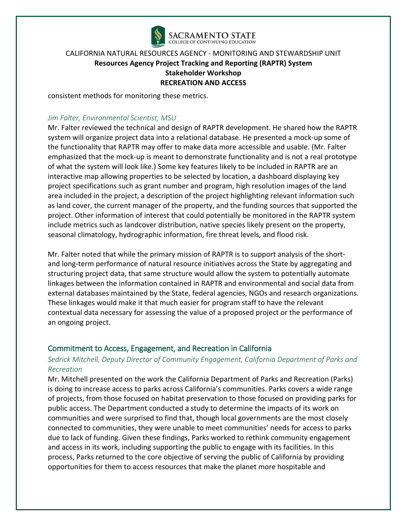

consistent methods for monitoring these metrics.

### *Jim Falter, Environmental Scientist, MSU*

Mr. Falter reviewed the technical and design of RAPTR development. He shared how the RAPTR system will organize project data into a relational database. He presented a mock-up some of the functionality that RAPTR may offer to make data more accessible and usable. (Mr. Falter emphasized that the mock-up is meant to demonstrate functionality and is not a real prototype of what the system will look like.) Some key features likely to be included in RAPTR are an interactive map allowing properties to be selected by location, a dashboard displaying key project specifications such as grant number and program, high resolution images of the land area included in the project, a description of the project highlighting relevant information such as land cover, the current manager of the property, and the funding sources that supported the project. Other information of interest that could potentially be monitored in the RAPTR system include metrics such as landcover distribution, native species likely present on the property, seasonal climatology, hydrographic information, fire threat levels, and flood risk.

Mr. Falter noted that while the primary mission of RAPTR is to support analysis of the shortand long-term performance of natural resource initiatives across the State by aggregating and structuring project data, that same structure would allow the system to potentially automate linkages between the information contained in RAPTR and environmental and social data from external databases maintained by the State, federal agencies, NGOs and research organizations. These linkages would make it that much easier for program staff to have the relevant contextual data necessary for assessing the value of a proposed project or the performance of an ongoing project.

### Commitment to Access, Engagement, and Recreation in California

# *Sedrick Mitchell, Deputy Director of Community Engagement, California Department of Parks and Recreation*

Mr. Mitchell presented on the work the California Department of Parks and Recreation (Parks) is doing to increase access to parks across California's communities. Parks covers a wide range of projects, from those focused on habitat preservation to those focused on providing parks for public access. The Department conducted a study to determine the impacts of its work on communities and were surprised to find that, though local governments are the most closely connected to communities, they were unable to meet communities' needs for access to parks due to lack of funding. Given these findings, Parks worked to rethink community engagement and access in its work, including supporting the public to engage with its facilities. In this process, Parks returned to the core objective of serving the public of California by providing opportunities for them to access resources that make the planet more hospitable and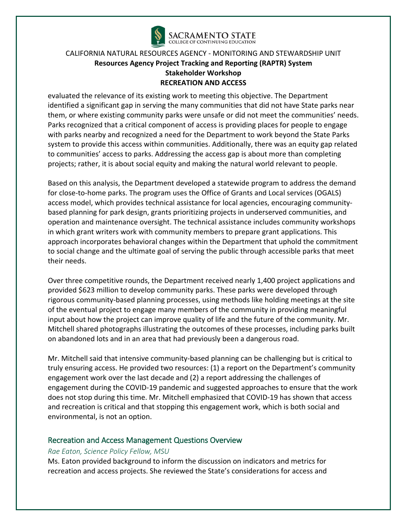

evaluated the relevance of its existing work to meeting this objective. The Department identified a significant gap in serving the many communities that did not have State parks near them, or where existing community parks were unsafe or did not meet the communities' needs. Parks recognized that a critical component of access is providing places for people to engage with parks nearby and recognized a need for the Department to work beyond the State Parks system to provide this access within communities. Additionally, there was an equity gap related to communities' access to parks. Addressing the access gap is about more than completing projects; rather, it is about social equity and making the natural world relevant to people.

Based on this analysis, the Department developed a statewide program to address the demand for close-to-home parks. The program uses the Office of Grants and Local services (OGALS) access model, which provides technical assistance for local agencies, encouraging communitybased planning for park design, grants prioritizing projects in underserved communities, and operation and maintenance oversight. The technical assistance includes community workshops in which grant writers work with community members to prepare grant applications. This approach incorporates behavioral changes within the Department that uphold the commitment to social change and the ultimate goal of serving the public through accessible parks that meet their needs.

Over three competitive rounds, the Department received nearly 1,400 project applications and provided \$623 million to develop community parks. These parks were developed through rigorous community-based planning processes, using methods like holding meetings at the site of the eventual project to engage many members of the community in providing meaningful input about how the project can improve quality of life and the future of the community. Mr. Mitchell shared photographs illustrating the outcomes of these processes, including parks built on abandoned lots and in an area that had previously been a dangerous road.

Mr. Mitchell said that intensive community-based planning can be challenging but is critical to truly ensuring access. He provided two resources: (1) a report on the Department's community engagement work over the last decade and (2) a report addressing the challenges of engagement during the COVID-19 pandemic and suggested approaches to ensure that the work does not stop during this time. Mr. Mitchell emphasized that COVID-19 has shown that access and recreation is critical and that stopping this engagement work, which is both social and environmental, is not an option.

### Recreation and Access Management Questions Overview

### *Rae Eaton, Science Policy Fellow, MSU*

Ms. Eaton provided background to inform the discussion on indicators and metrics for recreation and access projects. She reviewed the State's considerations for access and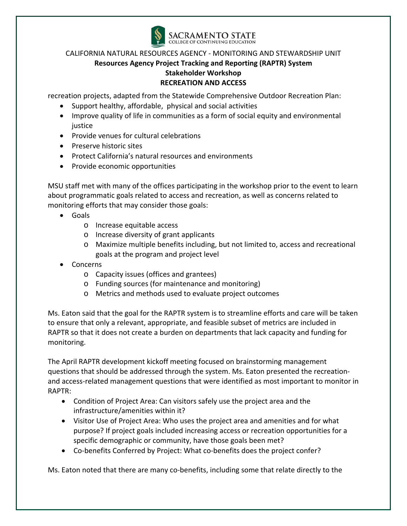

recreation projects, adapted from the Statewide Comprehensive Outdoor Recreation Plan:

- Support healthy, affordable, physical and social activities
- Improve quality of life in communities as a form of social equity and environmental justice
- Provide venues for cultural celebrations
- Preserve historic sites
- Protect California's natural resources and environments
- Provide economic opportunities

MSU staff met with many of the offices participating in the workshop prior to the event to learn about programmatic goals related to access and recreation, as well as concerns related to monitoring efforts that may consider those goals:

- Goals
	- o Increase equitable access
	- o Increase diversity of grant applicants
	- o Maximize multiple benefits including, but not limited to, access and recreational goals at the program and project level
- Concerns
	- o Capacity issues (offices and grantees)
	- o Funding sources (for maintenance and monitoring)
	- o Metrics and methods used to evaluate project outcomes

Ms. Eaton said that the goal for the RAPTR system is to streamline efforts and care will be taken to ensure that only a relevant, appropriate, and feasible subset of metrics are included in RAPTR so that it does not create a burden on departments that lack capacity and funding for monitoring.

The April RAPTR development kickoff meeting focused on brainstorming management questions that should be addressed through the system. Ms. Eaton presented the recreationand access-related management questions that were identified as most important to monitor in RAPTR:

- Condition of Project Area: Can visitors safely use the project area and the infrastructure/amenities within it?
- Visitor Use of Project Area: Who uses the project area and amenities and for what purpose? If project goals included increasing access or recreation opportunities for a specific demographic or community, have those goals been met?
- Co-benefits Conferred by Project: What co-benefits does the project confer?

Ms. Eaton noted that there are many co-benefits, including some that relate directly to the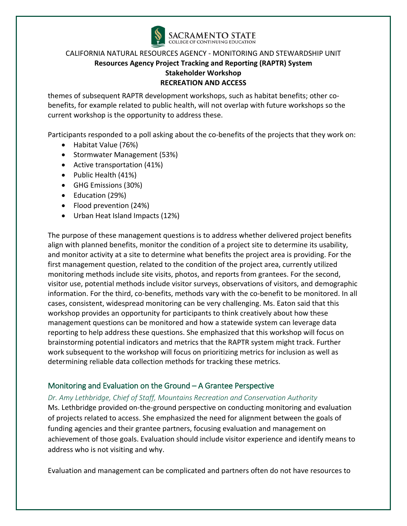

themes of subsequent RAPTR development workshops, such as habitat benefits; other cobenefits, for example related to public health, will not overlap with future workshops so the current workshop is the opportunity to address these.

Participants responded to a poll asking about the co-benefits of the projects that they work on:

- Habitat Value (76%)
- Stormwater Management (53%)
- Active transportation (41%)
- Public Health (41%)
- GHG Emissions (30%)
- Education (29%)
- Flood prevention (24%)
- Urban Heat Island Impacts (12%)

The purpose of these management questions is to address whether delivered project benefits align with planned benefits, monitor the condition of a project site to determine its usability, and monitor activity at a site to determine what benefits the project area is providing. For the first management question, related to the condition of the project area, currently utilized monitoring methods include site visits, photos, and reports from grantees. For the second, visitor use, potential methods include visitor surveys, observations of visitors, and demographic information. For the third, co-benefits, methods vary with the co-benefit to be monitored. In all cases, consistent, widespread monitoring can be very challenging. Ms. Eaton said that this workshop provides an opportunity for participants to think creatively about how these management questions can be monitored and how a statewide system can leverage data reporting to help address these questions. She emphasized that this workshop will focus on brainstorming potential indicators and metrics that the RAPTR system might track. Further work subsequent to the workshop will focus on prioritizing metrics for inclusion as well as determining reliable data collection methods for tracking these metrics.

# Monitoring and Evaluation on the Ground – A Grantee Perspective

### *Dr. Amy Lethbridge, Chief of Staff, Mountains Recreation and Conservation Authority*

Ms. Lethbridge provided on-the-ground perspective on conducting monitoring and evaluation of projects related to access. She emphasized the need for alignment between the goals of funding agencies and their grantee partners, focusing evaluation and management on achievement of those goals. Evaluation should include visitor experience and identify means to address who is not visiting and why.

Evaluation and management can be complicated and partners often do not have resources to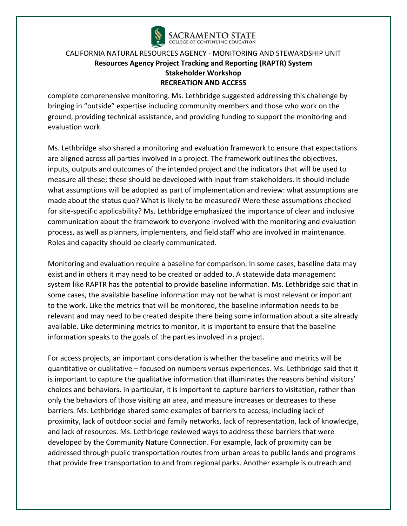

complete comprehensive monitoring. Ms. Lethbridge suggested addressing this challenge by bringing in "outside" expertise including community members and those who work on the ground, providing technical assistance, and providing funding to support the monitoring and evaluation work.

Ms. Lethbridge also shared a monitoring and evaluation framework to ensure that expectations are aligned across all parties involved in a project. The framework outlines the objectives, inputs, outputs and outcomes of the intended project and the indicators that will be used to measure all these; these should be developed with input from stakeholders. It should include what assumptions will be adopted as part of implementation and review: what assumptions are made about the status quo? What is likely to be measured? Were these assumptions checked for site-specific applicability? Ms. Lethbridge emphasized the importance of clear and inclusive communication about the framework to everyone involved with the monitoring and evaluation process, as well as planners, implementers, and field staff who are involved in maintenance. Roles and capacity should be clearly communicated.

Monitoring and evaluation require a baseline for comparison. In some cases, baseline data may exist and in others it may need to be created or added to. A statewide data management system like RAPTR has the potential to provide baseline information. Ms. Lethbridge said that in some cases, the available baseline information may not be what is most relevant or important to the work. Like the metrics that will be monitored, the baseline information needs to be relevant and may need to be created despite there being some information about a site already available. Like determining metrics to monitor, it is important to ensure that the baseline information speaks to the goals of the parties involved in a project.

For access projects, an important consideration is whether the baseline and metrics will be quantitative or qualitative – focused on numbers versus experiences. Ms. Lethbridge said that it is important to capture the qualitative information that illuminates the reasons behind visitors' choices and behaviors. In particular, it is important to capture barriers to visitation, rather than only the behaviors of those visiting an area, and measure increases or decreases to these barriers. Ms. Lethbridge shared some examples of barriers to access, including lack of proximity, lack of outdoor social and family networks, lack of representation, lack of knowledge, and lack of resources. Ms. Lethbridge reviewed ways to address these barriers that were developed by the Community Nature Connection. For example, lack of proximity can be addressed through public transportation routes from urban areas to public lands and programs that provide free transportation to and from regional parks. Another example is outreach and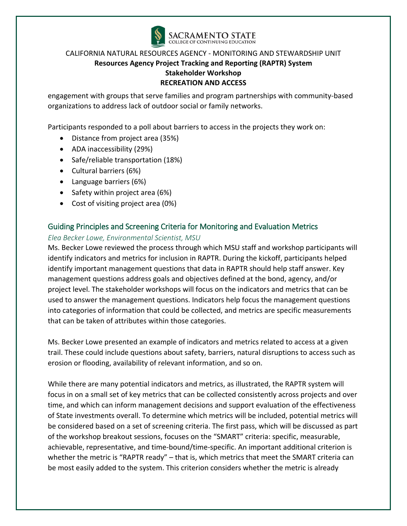

engagement with groups that serve families and program partnerships with community-based organizations to address lack of outdoor social or family networks.

Participants responded to a poll about barriers to access in the projects they work on:

- Distance from project area (35%)
- ADA inaccessibility (29%)
- Safe/reliable transportation (18%)
- Cultural barriers (6%)
- Language barriers (6%)
- Safety within project area (6%)
- Cost of visiting project area (0%)

### Guiding Principles and Screening Criteria for Monitoring and Evaluation Metrics

### *Elea Becker Lowe, Environmental Scientist, MSU*

Ms. Becker Lowe reviewed the process through which MSU staff and workshop participants will identify indicators and metrics for inclusion in RAPTR. During the kickoff, participants helped identify important management questions that data in RAPTR should help staff answer. Key management questions address goals and objectives defined at the bond, agency, and/or project level. The stakeholder workshops will focus on the indicators and metrics that can be used to answer the management questions. Indicators help focus the management questions into categories of information that could be collected, and metrics are specific measurements that can be taken of attributes within those categories.

Ms. Becker Lowe presented an example of indicators and metrics related to access at a given trail. These could include questions about safety, barriers, natural disruptions to access such as erosion or flooding, availability of relevant information, and so on.

While there are many potential indicators and metrics, as illustrated, the RAPTR system will focus in on a small set of key metrics that can be collected consistently across projects and over time, and which can inform management decisions and support evaluation of the effectiveness of State investments overall. To determine which metrics will be included, potential metrics will be considered based on a set of screening criteria. The first pass, which will be discussed as part of the workshop breakout sessions, focuses on the "SMART" criteria: specific, measurable, achievable, representative, and time-bound/time-specific. An important additional criterion is whether the metric is "RAPTR ready" – that is, which metrics that meet the SMART criteria can be most easily added to the system. This criterion considers whether the metric is already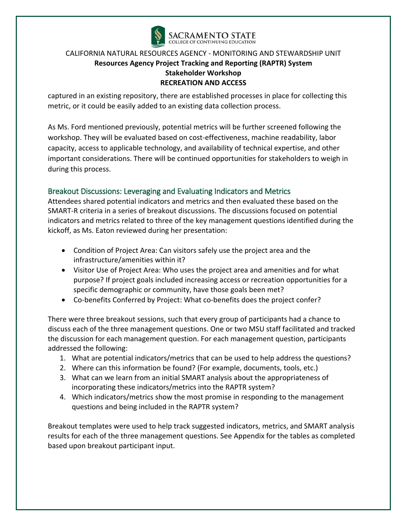

captured in an existing repository, there are established processes in place for collecting this metric, or it could be easily added to an existing data collection process.

As Ms. Ford mentioned previously, potential metrics will be further screened following the workshop. They will be evaluated based on cost-effectiveness, machine readability, labor capacity, access to applicable technology, and availability of technical expertise, and other important considerations. There will be continued opportunities for stakeholders to weigh in during this process.

# Breakout Discussions: Leveraging and Evaluating Indicators and Metrics

Attendees shared potential indicators and metrics and then evaluated these based on the SMART-R criteria in a series of breakout discussions. The discussions focused on potential indicators and metrics related to three of the key management questions identified during the kickoff, as Ms. Eaton reviewed during her presentation:

- Condition of Project Area: Can visitors safely use the project area and the infrastructure/amenities within it?
- Visitor Use of Project Area: Who uses the project area and amenities and for what purpose? If project goals included increasing access or recreation opportunities for a specific demographic or community, have those goals been met?
- Co-benefits Conferred by Project: What co-benefits does the project confer?

There were three breakout sessions, such that every group of participants had a chance to discuss each of the three management questions. One or two MSU staff facilitated and tracked the discussion for each management question. For each management question, participants addressed the following:

- 1. What are potential indicators/metrics that can be used to help address the questions?
- 2. Where can this information be found? (For example, documents, tools, etc.)
- 3. What can we learn from an initial SMART analysis about the appropriateness of incorporating these indicators/metrics into the RAPTR system?
- 4. Which indicators/metrics show the most promise in responding to the management questions and being included in the RAPTR system?

Breakout templates were used to help track suggested indicators, metrics, and SMART analysis results for each of the three management questions. See Appendix for the tables as completed based upon breakout participant input.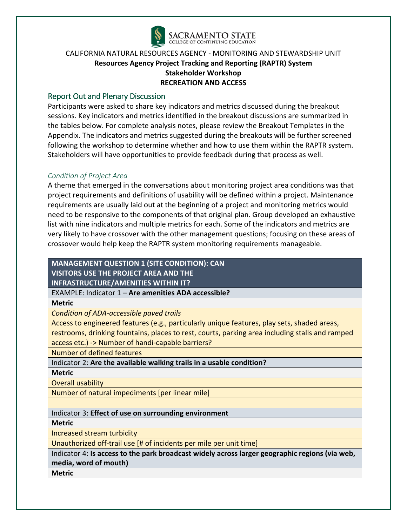

### Report Out and Plenary Discussion

Participants were asked to share key indicators and metrics discussed during the breakout sessions. Key indicators and metrics identified in the breakout discussions are summarized in the tables below. For complete analysis notes, please review the Breakout Templates in the Appendix. The indicators and metrics suggested during the breakouts will be further screened following the workshop to determine whether and how to use them within the RAPTR system. Stakeholders will have opportunities to provide feedback during that process as well.

### *Condition of Project Area*

A theme that emerged in the conversations about monitoring project area conditions was that project requirements and definitions of usability will be defined within a project. Maintenance requirements are usually laid out at the beginning of a project and monitoring metrics would need to be responsive to the components of that original plan. Group developed an exhaustive list with nine indicators and multiple metrics for each. Some of the indicators and metrics are very likely to have crossover with the other management questions; focusing on these areas of crossover would help keep the RAPTR system monitoring requirements manageable.

### **MANAGEMENT QUESTION 1 (SITE CONDITION): CAN VISITORS USE THE PROJECT AREA AND THE INFRASTRUCTURE/AMENITIES WITHIN IT?**

EXAMPLE: Indicator 1 – **Are amenities ADA accessible?**

**Metric**

*Condition of ADA-accessible paved trails*

Access to engineered features (e.g., particularly unique features, play sets, shaded areas, restrooms, drinking fountains, places to rest, courts, parking area including stalls and ramped access etc.) -> Number of handi-capable barriers?

Number of defined features

Indicator 2: **Are the available walking trails in a usable condition?**

**Metric**

Overall usability

Number of natural impediments [per linear mile]

### Indicator 3: **Effect of use on surrounding environment**

**Metric**

Increased stream turbidity

Unauthorized off-trail use [# of incidents per mile per unit time]

Indicator 4: **Is access to the park broadcast widely across larger geographic regions (via web, media, word of mouth)**

**Metric**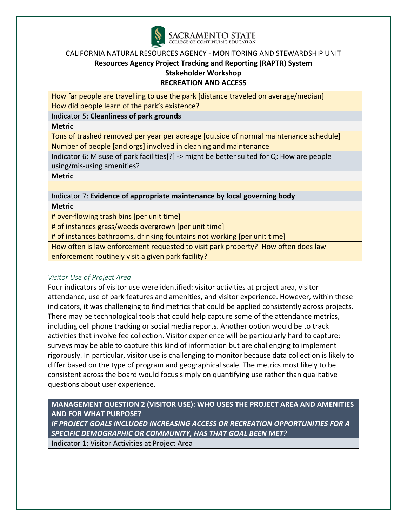

How far people are travelling to use the park [distance traveled on average/median] How did people learn of the park's existence?

Indicator 5: **Cleanliness of park grounds**

**Metric**

Tons of trashed removed per year per acreage [outside of normal maintenance schedule] Number of people [and orgs] involved in cleaning and maintenance

Indicator 6: Misuse of park facilities[?] -> might be better suited for Q: How are people using/mis-using amenities?

**Metric**

Indicator 7: **Evidence of appropriate maintenance by local governing body Metric**

# over-flowing trash bins [per unit time]

# of instances grass/weeds overgrown [per unit time]

# of instances bathrooms, drinking fountains not working [per unit time]

How often is law enforcement requested to visit park property? How often does law enforcement routinely visit a given park facility?

# *Visitor Use of Project Area*

Four indicators of visitor use were identified: visitor activities at project area, visitor attendance, use of park features and amenities, and visitor experience. However, within these indicators, it was challenging to find metrics that could be applied consistently across projects. There may be technological tools that could help capture some of the attendance metrics, including cell phone tracking or social media reports. Another option would be to track activities that involve fee collection. Visitor experience will be particularly hard to capture; surveys may be able to capture this kind of information but are challenging to implement rigorously. In particular, visitor use is challenging to monitor because data collection is likely to differ based on the type of program and geographical scale. The metrics most likely to be consistent across the board would focus simply on quantifying use rather than qualitative questions about user experience.

**MANAGEMENT QUESTION 2 (VISITOR USE): WHO USES THE PROJECT AREA AND AMENITIES AND FOR WHAT PURPOSE?**  *IF PROJECT GOALS INCLUDED INCREASING ACCESS OR RECREATION OPPORTUNITIES FOR A SPECIFIC DEMOGRAPHIC OR COMMUNITY, HAS THAT GOAL BEEN MET?* Indicator 1: Visitor Activities at Project Area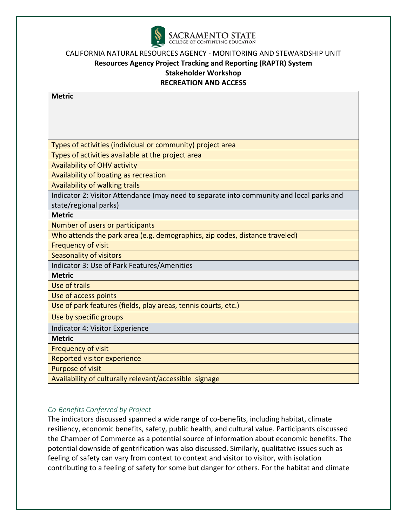

| <b>Metric</b>                                                                            |
|------------------------------------------------------------------------------------------|
|                                                                                          |
|                                                                                          |
|                                                                                          |
|                                                                                          |
| Types of activities (individual or community) project area                               |
| Types of activities available at the project area                                        |
| <b>Availability of OHV activity</b>                                                      |
| Availability of boating as recreation                                                    |
| Availability of walking trails                                                           |
| Indicator 2: Visitor Attendance (may need to separate into community and local parks and |
| state/regional parks)                                                                    |
| <b>Metric</b>                                                                            |
| Number of users or participants                                                          |
| Who attends the park area (e.g. demographics, zip codes, distance traveled)              |
| <b>Frequency of visit</b>                                                                |
| Seasonality of visitors                                                                  |
| Indicator 3: Use of Park Features/Amenities                                              |
| <b>Metric</b>                                                                            |
| Use of trails                                                                            |
| Use of access points                                                                     |
| Use of park features (fields, play areas, tennis courts, etc.)                           |
| Use by specific groups                                                                   |
| Indicator 4: Visitor Experience                                                          |
| <b>Metric</b>                                                                            |
| <b>Frequency of visit</b>                                                                |
| Reported visitor experience                                                              |
| Purpose of visit                                                                         |
| Availability of culturally relevant/accessible signage                                   |

# *Co-Benefits Conferred by Project*

The indicators discussed spanned a wide range of co-benefits, including habitat, climate resiliency, economic benefits, safety, public health, and cultural value. Participants discussed the Chamber of Commerce as a potential source of information about economic benefits. The potential downside of gentrification was also discussed. Similarly, qualitative issues such as feeling of safety can vary from context to context and visitor to visitor, with isolation contributing to a feeling of safety for some but danger for others. For the habitat and climate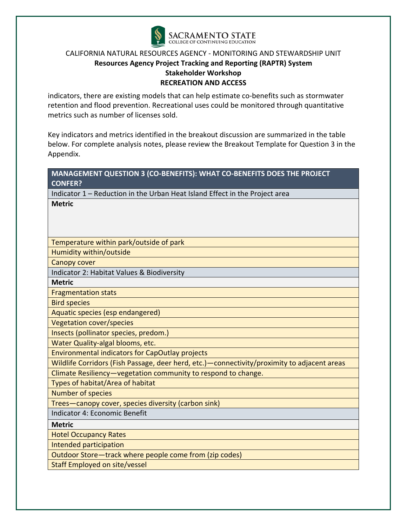

indicators, there are existing models that can help estimate co-benefits such as stormwater retention and flood prevention. Recreational uses could be monitored through quantitative metrics such as number of licenses sold.

Key indicators and metrics identified in the breakout discussion are summarized in the table below. For complete analysis notes, please review the Breakout Template for Question 3 in the Appendix.

| MANAGEMENT QUESTION 3 (CO-BENEFITS): WHAT CO-BENEFITS DOES THE PROJECT                        |
|-----------------------------------------------------------------------------------------------|
| <b>CONFER?</b>                                                                                |
| Indicator 1 - Reduction in the Urban Heat Island Effect in the Project area                   |
| <b>Metric</b>                                                                                 |
|                                                                                               |
|                                                                                               |
|                                                                                               |
| Temperature within park/outside of park                                                       |
| Humidity within/outside                                                                       |
| <b>Canopy cover</b>                                                                           |
| Indicator 2: Habitat Values & Biodiversity                                                    |
| <b>Metric</b>                                                                                 |
| <b>Fragmentation stats</b>                                                                    |
| <b>Bird species</b>                                                                           |
| Aquatic species (esp endangered)                                                              |
| <b>Vegetation cover/species</b>                                                               |
| Insects (pollinator species, predom.)                                                         |
| Water Quality-algal blooms, etc.                                                              |
| <b>Environmental indicators for CapOutlay projects</b>                                        |
| Wildlife Corridors (Fish Passage, deer herd, etc.) - connectivity/proximity to adjacent areas |
| Climate Resiliency-vegetation community to respond to change.                                 |
| Types of habitat/Area of habitat                                                              |
| <b>Number of species</b>                                                                      |
| Trees-canopy cover, species diversity (carbon sink)                                           |
| Indicator 4: Economic Benefit                                                                 |
| <b>Metric</b>                                                                                 |
| <b>Hotel Occupancy Rates</b>                                                                  |
| Intended participation                                                                        |
| Outdoor Store-track where people come from (zip codes)                                        |
| <b>Staff Employed on site/vessel</b>                                                          |
|                                                                                               |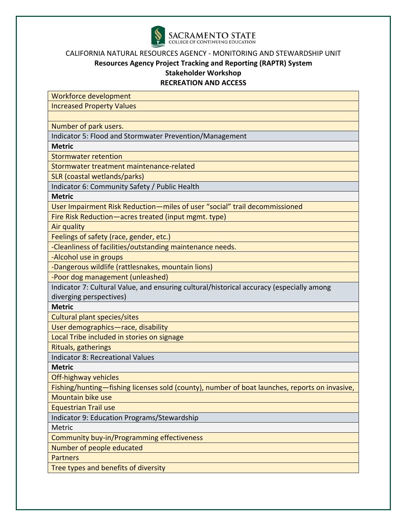

# **Resources Agency Project Tracking and Reporting (RAPTR) System Stakeholder Workshop**

### **RECREATION AND ACCESS**

Workforce development

Increased Property Values

Number of park users.

Indicator 5: Flood and Stormwater Prevention/Management

**Metric**

Stormwater retention

Stormwater treatment maintenance-related

SLR (coastal wetlands/parks)

Indicator 6: Community Safety / Public Health

**Metric**

User Impairment Risk Reduction—miles of user "social" trail decommissioned

Fire Risk Reduction—acres treated (input mgmt. type)

Air quality

Feelings of safety (race, gender, etc.)

-Cleanliness of facilities/outstanding maintenance needs.

-Alcohol use in groups

-Dangerous wildlife (rattlesnakes, mountain lions)

-Poor dog management (unleashed)

Indicator 7: Cultural Value, and ensuring cultural/historical accuracy (especially among diverging perspectives)

**Metric**

Cultural plant species/sites

User demographics—race, disability

Local Tribe included in stories on signage

Rituals, gatherings

Indicator 8: Recreational Values

**Metric**

Off-highway vehicles

Fishing/hunting—fishing licenses sold (county), number of boat launches, reports on invasive,

Mountain bike use Equestrian Trail use

Indicator 9: Education Programs/Stewardship

Metric

Community buy-in/Programming effectiveness

Number of people educated

**Partners** 

Tree types and benefits of diversity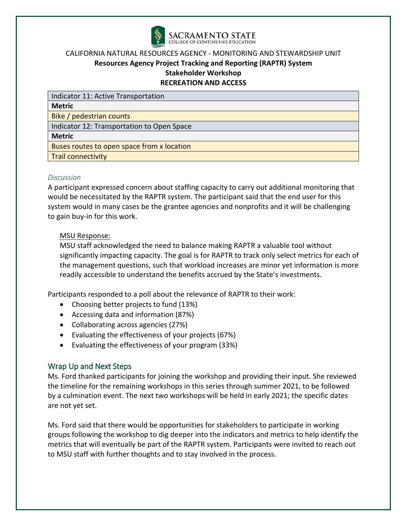

Indicator 11: Active Transportation

**Metric**

Bike / pedestrian counts

Indicator 12: Transportation to Open Space

### **Metric**

Buses routes to open space from x location

Trail connectivity

### *Discussion*

A participant expressed concern about staffing capacity to carry out additional monitoring that would be necessitated by the RAPTR system. The participant said that the end user for this system would in many cases be the grantee agencies and nonprofits and it will be challenging to gain buy-in for this work.

### MSU Response:

MSU staff acknowledged the need to balance making RAPTR a valuable tool without significantly impacting capacity. The goal is for RAPTR to track only select metrics for each of the management questions, such that workload increases are minor yet information is more readily accessible to understand the benefits accrued by the State's investments.

Participants responded to a poll about the relevance of RAPTR to their work:

- Choosing better projects to fund (13%)
- Accessing data and information (87%)
- Collaborating across agencies (27%)
- Evaluating the effectiveness of your projects (67%)
- Evaluating the effectiveness of your program (33%)

# Wrap Up and Next Steps

Ms. Ford thanked participants for joining the workshop and providing their input. She reviewed the timeline for the remaining workshops in this series through summer 2021, to be followed by a culmination event. The next two workshops will be held in early 2021; the specific dates are not yet set.

Ms. Ford said that there would be opportunities for stakeholders to participate in working groups following the workshop to dig deeper into the indicators and metrics to help identify the metrics that will eventually be part of the RAPTR system. Participants were invited to reach out to MSU staff with further thoughts and to stay involved in the process.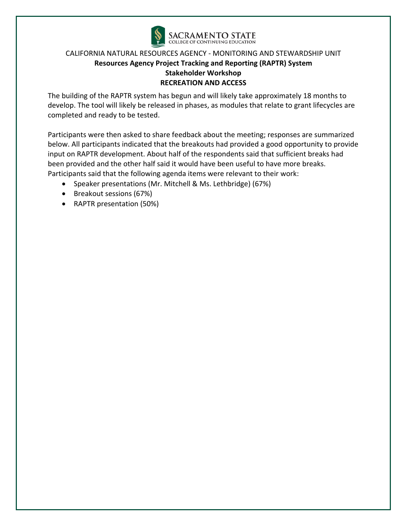

The building of the RAPTR system has begun and will likely take approximately 18 months to develop. The tool will likely be released in phases, as modules that relate to grant lifecycles are completed and ready to be tested.

Participants were then asked to share feedback about the meeting; responses are summarized below. All participants indicated that the breakouts had provided a good opportunity to provide input on RAPTR development. About half of the respondents said that sufficient breaks had been provided and the other half said it would have been useful to have more breaks. Participants said that the following agenda items were relevant to their work:

- Speaker presentations (Mr. Mitchell & Ms. Lethbridge) (67%)
- Breakout sessions (67%)
- RAPTR presentation (50%)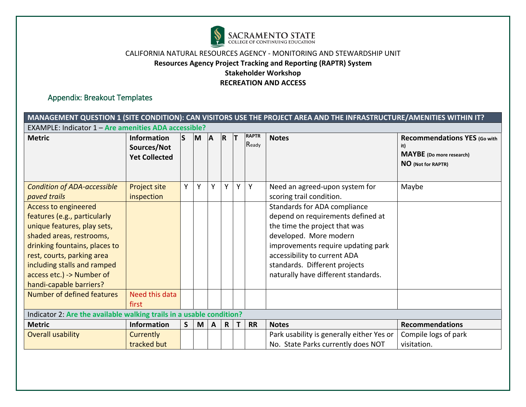

# Appendix: Breakout Templates

|                                                                                                                                                                                                                                                                              | MANAGEMENT QUESTION 1 (SITE CONDITION): CAN VISITORS USE THE PROJECT AREA AND THE INFRASTRUCTURE/AMENITIES WITHIN IT? |           |   |              |              |             |                       |                                                                                                                                                                                                                                                                            |                                                                                              |  |  |  |  |
|------------------------------------------------------------------------------------------------------------------------------------------------------------------------------------------------------------------------------------------------------------------------------|-----------------------------------------------------------------------------------------------------------------------|-----------|---|--------------|--------------|-------------|-----------------------|----------------------------------------------------------------------------------------------------------------------------------------------------------------------------------------------------------------------------------------------------------------------------|----------------------------------------------------------------------------------------------|--|--|--|--|
| <b>EXAMPLE: Indicator 1 - Are amenities ADA accessible?</b>                                                                                                                                                                                                                  |                                                                                                                       |           |   |              |              |             |                       |                                                                                                                                                                                                                                                                            |                                                                                              |  |  |  |  |
| <b>Metric</b>                                                                                                                                                                                                                                                                | <b>Information</b><br>Sources/Not<br><b>Yet Collected</b>                                                             | $\vert$ S | M | A            | IR.          | İΤ          | <b>RAPTR</b><br>Ready | <b>Notes</b>                                                                                                                                                                                                                                                               | <b>Recommendations YES (Go with</b><br>it)<br>MAYBE (Do more research)<br>NO (Not for RAPTR) |  |  |  |  |
| <b>Condition of ADA-accessible</b><br>paved trails                                                                                                                                                                                                                           | Project site<br>inspection                                                                                            | Υ         | Υ | v            | Y            | Y           | Y                     | Need an agreed-upon system for<br>scoring trail condition.                                                                                                                                                                                                                 | Maybe                                                                                        |  |  |  |  |
| <b>Access to engineered</b><br>features (e.g., particularly<br>unique features, play sets,<br>shaded areas, restrooms,<br>drinking fountains, places to<br>rest, courts, parking area<br>including stalls and ramped<br>access etc.) -> Number of<br>handi-capable barriers? |                                                                                                                       |           |   |              |              |             |                       | Standards for ADA compliance<br>depend on requirements defined at<br>the time the project that was<br>developed. More modern<br>improvements require updating park<br>accessibility to current ADA<br>standards. Different projects<br>naturally have different standards. |                                                                                              |  |  |  |  |
| Number of defined features                                                                                                                                                                                                                                                   | Need this data<br>first                                                                                               |           |   |              |              |             |                       |                                                                                                                                                                                                                                                                            |                                                                                              |  |  |  |  |
| Indicator 2: Are the available walking trails in a usable condition?                                                                                                                                                                                                         |                                                                                                                       |           |   |              |              |             |                       |                                                                                                                                                                                                                                                                            |                                                                                              |  |  |  |  |
| <b>Metric</b>                                                                                                                                                                                                                                                                | <b>Information</b>                                                                                                    | S         | M | $\mathbf{A}$ | $\mathsf{R}$ | $\mathsf T$ | <b>RR</b>             | <b>Notes</b>                                                                                                                                                                                                                                                               | <b>Recommendations</b>                                                                       |  |  |  |  |
| <b>Overall usability</b>                                                                                                                                                                                                                                                     | <b>Currently</b><br>tracked but                                                                                       |           |   |              |              |             |                       | Park usability is generally either Yes or<br>No. State Parks currently does NOT                                                                                                                                                                                            | Compile logs of park<br>visitation.                                                          |  |  |  |  |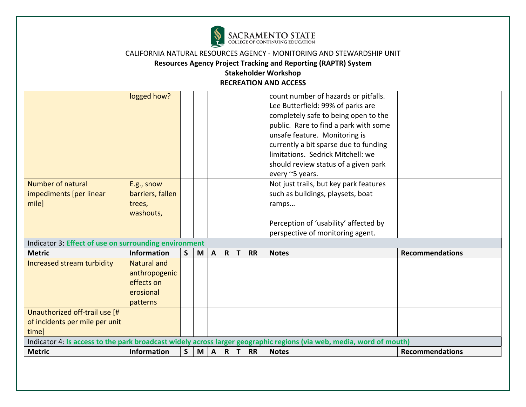

# **Resources Agency Project Tracking and Reporting (RAPTR) System**

|                                                       | logged how?        |              |   |                 |              |              |           | count number of hazards or pitfalls.                                                                                 |                        |
|-------------------------------------------------------|--------------------|--------------|---|-----------------|--------------|--------------|-----------|----------------------------------------------------------------------------------------------------------------------|------------------------|
|                                                       |                    |              |   |                 |              |              |           | Lee Butterfield: 99% of parks are                                                                                    |                        |
|                                                       |                    |              |   |                 |              |              |           | completely safe to being open to the                                                                                 |                        |
|                                                       |                    |              |   |                 |              |              |           | public. Rare to find a park with some                                                                                |                        |
|                                                       |                    |              |   |                 |              |              |           | unsafe feature. Monitoring is                                                                                        |                        |
|                                                       |                    |              |   |                 |              |              |           | currently a bit sparse due to funding                                                                                |                        |
|                                                       |                    |              |   |                 |              |              |           | limitations. Sedrick Mitchell: we                                                                                    |                        |
|                                                       |                    |              |   |                 |              |              |           | should review status of a given park                                                                                 |                        |
|                                                       |                    |              |   |                 |              |              |           | every ~5 years.                                                                                                      |                        |
| Number of natural                                     | E.g., snow         |              |   |                 |              |              |           | Not just trails, but key park features                                                                               |                        |
| impediments [per linear                               | barriers, fallen   |              |   |                 |              |              |           | such as buildings, playsets, boat                                                                                    |                        |
| milel                                                 | trees,             |              |   |                 |              |              |           | ramps                                                                                                                |                        |
|                                                       | washouts,          |              |   |                 |              |              |           |                                                                                                                      |                        |
|                                                       |                    |              |   |                 |              |              |           | Perception of 'usability' affected by                                                                                |                        |
|                                                       |                    |              |   |                 |              |              |           | perspective of monitoring agent.                                                                                     |                        |
| Indicator 3: Effect of use on surrounding environment |                    |              |   |                 |              |              |           |                                                                                                                      |                        |
| <b>Metric</b>                                         | Information        | $\mathsf{S}$ | M | $\mathbf{A}$    | $\mathsf{R}$ | $\mathsf{T}$ | <b>RR</b> | <b>Notes</b>                                                                                                         | <b>Recommendations</b> |
| Increased stream turbidity                            | <b>Natural and</b> |              |   |                 |              |              |           |                                                                                                                      |                        |
|                                                       | anthropogenic      |              |   |                 |              |              |           |                                                                                                                      |                        |
|                                                       | effects on         |              |   |                 |              |              |           |                                                                                                                      |                        |
|                                                       | erosional          |              |   |                 |              |              |           |                                                                                                                      |                        |
|                                                       | patterns           |              |   |                 |              |              |           |                                                                                                                      |                        |
| Unauthorized off-trail use [#                         |                    |              |   |                 |              |              |           |                                                                                                                      |                        |
| of incidents per mile per unit                        |                    |              |   |                 |              |              |           |                                                                                                                      |                        |
| time]                                                 |                    |              |   |                 |              |              |           |                                                                                                                      |                        |
|                                                       |                    |              |   |                 |              |              |           | Indicator 4: Is access to the park broadcast widely across larger geographic regions (via web, media, word of mouth) |                        |
| <b>Metric</b>                                         | Information        | S.           |   | $M \mid A \mid$ |              | $R$   T      | <b>RR</b> | <b>Notes</b>                                                                                                         | <b>Recommendations</b> |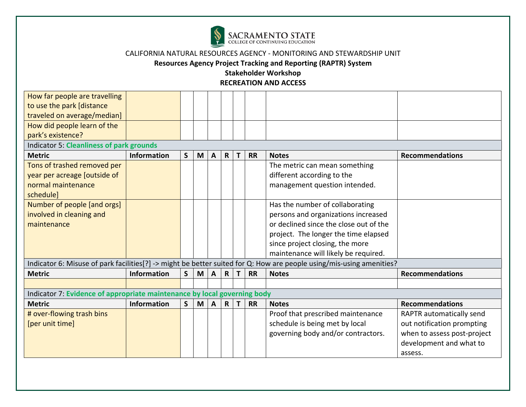

**Resources Agency Project Tracking and Reporting (RAPTR) System** 

| How far people are travelling<br>to use the park [distance               |                    |              |   |              |              |   |           |                                                                                                                      |                             |  |
|--------------------------------------------------------------------------|--------------------|--------------|---|--------------|--------------|---|-----------|----------------------------------------------------------------------------------------------------------------------|-----------------------------|--|
| traveled on average/median]                                              |                    |              |   |              |              |   |           |                                                                                                                      |                             |  |
| How did people learn of the                                              |                    |              |   |              |              |   |           |                                                                                                                      |                             |  |
| park's existence?                                                        |                    |              |   |              |              |   |           |                                                                                                                      |                             |  |
| <b>Indicator 5: Cleanliness of park grounds</b>                          |                    |              |   |              |              |   |           |                                                                                                                      |                             |  |
| <b>Metric</b>                                                            | Information        | $\mathsf{S}$ | M | $\mathbf{A}$ | $\mathsf{R}$ |   | <b>RR</b> | <b>Notes</b>                                                                                                         | <b>Recommendations</b>      |  |
| Tons of trashed removed per                                              |                    |              |   |              |              |   |           | The metric can mean something                                                                                        |                             |  |
| year per acreage [outside of                                             |                    |              |   |              |              |   |           | different according to the                                                                                           |                             |  |
| normal maintenance                                                       |                    |              |   |              |              |   |           | management question intended.                                                                                        |                             |  |
| schedule]                                                                |                    |              |   |              |              |   |           |                                                                                                                      |                             |  |
| Number of people [and orgs]                                              |                    |              |   |              |              |   |           | Has the number of collaborating                                                                                      |                             |  |
| involved in cleaning and                                                 |                    |              |   |              |              |   |           | persons and organizations increased                                                                                  |                             |  |
| maintenance                                                              |                    |              |   |              |              |   |           | or declined since the close out of the                                                                               |                             |  |
|                                                                          |                    |              |   |              |              |   |           | project. The longer the time elapsed                                                                                 |                             |  |
|                                                                          |                    |              |   |              |              |   |           | since project closing, the more                                                                                      |                             |  |
|                                                                          |                    |              |   |              |              |   |           | maintenance will likely be required.                                                                                 |                             |  |
|                                                                          |                    |              |   |              |              |   |           | Indicator 6: Misuse of park facilities[?] -> might be better suited for Q: How are people using/mis-using amenities? |                             |  |
| <b>Metric</b>                                                            | <b>Information</b> | S            | M | A            | $\mathsf{R}$ |   | <b>RR</b> | <b>Notes</b>                                                                                                         | <b>Recommendations</b>      |  |
|                                                                          |                    |              |   |              |              |   |           |                                                                                                                      |                             |  |
| Indicator 7: Evidence of appropriate maintenance by local governing body |                    |              |   |              |              |   |           |                                                                                                                      |                             |  |
| <b>Metric</b>                                                            | Information        | S            | M | $\mathbf{A}$ | R            | Т | <b>RR</b> | <b>Notes</b>                                                                                                         | <b>Recommendations</b>      |  |
| # over-flowing trash bins                                                |                    |              |   |              |              |   |           | Proof that prescribed maintenance                                                                                    | RAPTR automatically send    |  |
| [per unit time]                                                          |                    |              |   |              |              |   |           | schedule is being met by local                                                                                       | out notification prompting  |  |
|                                                                          |                    |              |   |              |              |   |           | governing body and/or contractors.                                                                                   | when to assess post-project |  |
|                                                                          |                    |              |   |              |              |   |           |                                                                                                                      | development and what to     |  |
|                                                                          |                    |              |   |              |              |   |           |                                                                                                                      | assess.                     |  |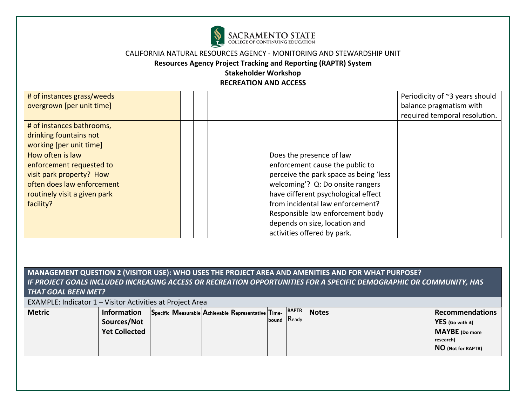

**Resources Agency Project Tracking and Reporting (RAPTR) System** 

### **Stakeholder Workshop RECREATION AND ACCESS**

| # of instances grass/weeds   |  |                                        | Periodicity of ~3 years should |
|------------------------------|--|----------------------------------------|--------------------------------|
| overgrown [per unit time]    |  |                                        | balance pragmatism with        |
|                              |  |                                        | required temporal resolution.  |
| # of instances bathrooms,    |  |                                        |                                |
| drinking fountains not       |  |                                        |                                |
| working [per unit time]      |  |                                        |                                |
| How often is law             |  | Does the presence of law               |                                |
| enforcement requested to     |  | enforcement cause the public to        |                                |
| visit park property? How     |  | perceive the park space as being 'less |                                |
| often does law enforcement   |  | welcoming'? Q: Do onsite rangers       |                                |
| routinely visit a given park |  | have different psychological effect    |                                |
| facility?                    |  | from incidental law enforcement?       |                                |
|                              |  | Responsible law enforcement body       |                                |
|                              |  | depends on size, location and          |                                |
|                              |  | activities offered by park.            |                                |

# **MANAGEMENT QUESTION 2 (VISITOR USE): WHO USES THE PROJECT AREA AND AMENITIES AND FOR WHAT PURPOSE?**  *IF PROJECT GOALS INCLUDED INCREASING ACCESS OR RECREATION OPPORTUNITIES FOR A SPECIFIC DEMOGRAPHIC OR COMMUNITY, HAS THAT GOAL BEEN MET?*

EXAMPLE: Indicator 1 – Visitor Activities at Project Area

| <b>Metric</b> | <b>Information</b>   |  | Specific Measurable Achievable Representative Time- | <b>RAPTR</b> | <b>Notes</b> | <b>Recommendations</b> |
|---------------|----------------------|--|-----------------------------------------------------|--------------|--------------|------------------------|
|               | Sources/Not          |  |                                                     | bound Ready  |              | YES (Go with it)       |
|               | <b>Yet Collected</b> |  |                                                     |              |              | <b>MAYBE</b> (Do more  |
|               |                      |  |                                                     |              |              | research)              |
|               |                      |  |                                                     |              |              | NO (Not for RAPTR)     |
|               |                      |  |                                                     |              |              |                        |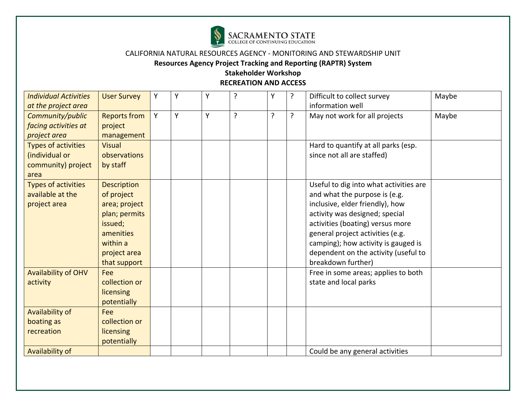

**Resources Agency Project Tracking and Reporting (RAPTR) System** 

| <b>Individual Activities</b> | <b>User Survey</b>  | Y | Y | Y | ? | Y | ? | Difficult to collect survey            | Maybe |
|------------------------------|---------------------|---|---|---|---|---|---|----------------------------------------|-------|
| at the project area          |                     |   |   |   |   |   |   | information well                       |       |
| Community/public             | <b>Reports from</b> | Y | Y | Y | ? | ? | ? | May not work for all projects          | Maybe |
| facing activities at         | project             |   |   |   |   |   |   |                                        |       |
| project area                 | management          |   |   |   |   |   |   |                                        |       |
| <b>Types of activities</b>   | <b>Visual</b>       |   |   |   |   |   |   | Hard to quantify at all parks (esp.    |       |
| (individual or               | observations        |   |   |   |   |   |   | since not all are staffed)             |       |
| community) project           | by staff            |   |   |   |   |   |   |                                        |       |
| area                         |                     |   |   |   |   |   |   |                                        |       |
| <b>Types of activities</b>   | <b>Description</b>  |   |   |   |   |   |   | Useful to dig into what activities are |       |
| available at the             | of project          |   |   |   |   |   |   | and what the purpose is (e.g.          |       |
| project area                 | area; project       |   |   |   |   |   |   | inclusive, elder friendly), how        |       |
|                              | plan; permits       |   |   |   |   |   |   | activity was designed; special         |       |
|                              | issued;             |   |   |   |   |   |   | activities (boating) versus more       |       |
|                              | amenities           |   |   |   |   |   |   | general project activities (e.g.       |       |
|                              | within a            |   |   |   |   |   |   | camping); how activity is gauged is    |       |
|                              | project area        |   |   |   |   |   |   | dependent on the activity (useful to   |       |
|                              | that support        |   |   |   |   |   |   | breakdown further)                     |       |
| <b>Availability of OHV</b>   | Fee                 |   |   |   |   |   |   | Free in some areas; applies to both    |       |
| activity                     | collection or       |   |   |   |   |   |   | state and local parks                  |       |
|                              | <b>licensing</b>    |   |   |   |   |   |   |                                        |       |
|                              | potentially         |   |   |   |   |   |   |                                        |       |
| Availability of              | Fee                 |   |   |   |   |   |   |                                        |       |
| boating as                   | collection or       |   |   |   |   |   |   |                                        |       |
| recreation                   | <b>licensing</b>    |   |   |   |   |   |   |                                        |       |
|                              | potentially         |   |   |   |   |   |   |                                        |       |
| Availability of              |                     |   |   |   |   |   |   | Could be any general activities        |       |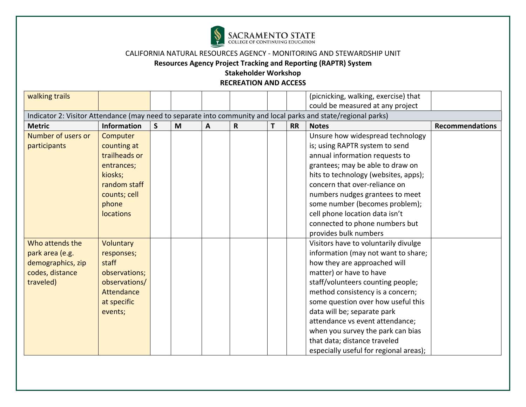

**Resources Agency Project Tracking and Reporting (RAPTR) System** 

| walking trails     |                    |              |   |   |             |   |           | (picnicking, walking, exercise) that                                                                           |                        |
|--------------------|--------------------|--------------|---|---|-------------|---|-----------|----------------------------------------------------------------------------------------------------------------|------------------------|
|                    |                    |              |   |   |             |   |           | could be measured at any project                                                                               |                        |
|                    |                    |              |   |   |             |   |           | Indicator 2: Visitor Attendance (may need to separate into community and local parks and state/regional parks) |                        |
| <b>Metric</b>      | <b>Information</b> | $\mathsf{S}$ | M | A | $\mathsf R$ | Τ | <b>RR</b> | <b>Notes</b>                                                                                                   | <b>Recommendations</b> |
| Number of users or | Computer           |              |   |   |             |   |           | Unsure how widespread technology                                                                               |                        |
| participants       | counting at        |              |   |   |             |   |           | is; using RAPTR system to send                                                                                 |                        |
|                    | trailheads or      |              |   |   |             |   |           | annual information requests to                                                                                 |                        |
|                    | entrances;         |              |   |   |             |   |           | grantees; may be able to draw on                                                                               |                        |
|                    | kiosks;            |              |   |   |             |   |           | hits to technology (websites, apps);                                                                           |                        |
|                    | random staff       |              |   |   |             |   |           | concern that over-reliance on                                                                                  |                        |
|                    | counts; cell       |              |   |   |             |   |           | numbers nudges grantees to meet                                                                                |                        |
|                    | phone              |              |   |   |             |   |           | some number (becomes problem);                                                                                 |                        |
|                    | <b>locations</b>   |              |   |   |             |   |           | cell phone location data isn't                                                                                 |                        |
|                    |                    |              |   |   |             |   |           | connected to phone numbers but                                                                                 |                        |
|                    |                    |              |   |   |             |   |           | provides bulk numbers                                                                                          |                        |
| Who attends the    | Voluntary          |              |   |   |             |   |           | Visitors have to voluntarily divulge                                                                           |                        |
| park area (e.g.    | responses;         |              |   |   |             |   |           | information (may not want to share;                                                                            |                        |
| demographics, zip  | staff              |              |   |   |             |   |           | how they are approached will                                                                                   |                        |
| codes, distance    | observations;      |              |   |   |             |   |           | matter) or have to have                                                                                        |                        |
| traveled)          | observations/      |              |   |   |             |   |           | staff/volunteers counting people;                                                                              |                        |
|                    | <b>Attendance</b>  |              |   |   |             |   |           | method consistency is a concern;                                                                               |                        |
|                    | at specific        |              |   |   |             |   |           | some question over how useful this                                                                             |                        |
|                    | events;            |              |   |   |             |   |           | data will be; separate park                                                                                    |                        |
|                    |                    |              |   |   |             |   |           | attendance vs event attendance;                                                                                |                        |
|                    |                    |              |   |   |             |   |           | when you survey the park can bias                                                                              |                        |
|                    |                    |              |   |   |             |   |           | that data; distance traveled                                                                                   |                        |
|                    |                    |              |   |   |             |   |           | especially useful for regional areas);                                                                         |                        |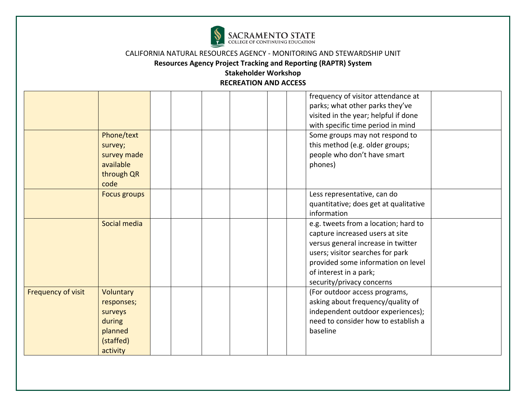

# **Resources Agency Project Tracking and Reporting (RAPTR) System**

|                    | Phone/text<br>survey;                                                            |  | frequency of visitor attendance at<br>parks; what other parks they've<br>visited in the year; helpful if done<br>with specific time period in mind<br>Some groups may not respond to<br>this method (e.g. older groups;                        |  |
|--------------------|----------------------------------------------------------------------------------|--|------------------------------------------------------------------------------------------------------------------------------------------------------------------------------------------------------------------------------------------------|--|
|                    | survey made<br>available<br>through QR<br>code                                   |  | people who don't have smart<br>phones)                                                                                                                                                                                                         |  |
|                    | <b>Focus groups</b>                                                              |  | Less representative, can do<br>quantitative; does get at qualitative<br>information                                                                                                                                                            |  |
|                    | Social media                                                                     |  | e.g. tweets from a location; hard to<br>capture increased users at site<br>versus general increase in twitter<br>users; visitor searches for park<br>provided some information on level<br>of interest in a park;<br>security/privacy concerns |  |
| Frequency of visit | Voluntary<br>responses;<br>surveys<br>during<br>planned<br>(staffed)<br>activity |  | (For outdoor access programs,<br>asking about frequency/quality of<br>independent outdoor experiences);<br>need to consider how to establish a<br>baseline                                                                                     |  |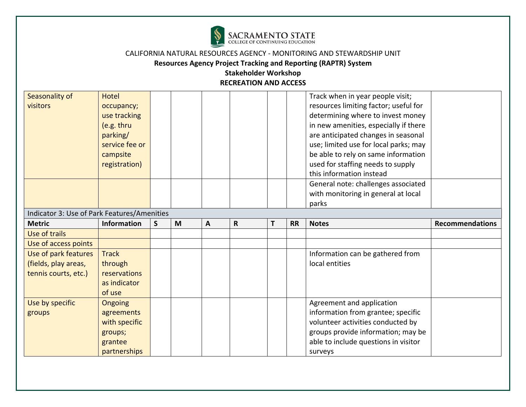

# **Resources Agency Project Tracking and Reporting (RAPTR) System**

| Seasonality of<br>visitors                                           | <b>Hotel</b><br>occupancy;<br>use tracking<br>(e.g. thru<br>parking/<br>service fee or<br>campsite<br>registration) |              |   |              |              |   |           | Track when in year people visit;<br>resources limiting factor; useful for<br>determining where to invest money<br>in new amenities, especially if there<br>are anticipated changes in seasonal<br>use; limited use for local parks; may<br>be able to rely on same information<br>used for staffing needs to supply<br>this information instead |                        |
|----------------------------------------------------------------------|---------------------------------------------------------------------------------------------------------------------|--------------|---|--------------|--------------|---|-----------|-------------------------------------------------------------------------------------------------------------------------------------------------------------------------------------------------------------------------------------------------------------------------------------------------------------------------------------------------|------------------------|
|                                                                      |                                                                                                                     |              |   |              |              |   |           | General note: challenges associated<br>with monitoring in general at local<br>parks                                                                                                                                                                                                                                                             |                        |
| Indicator 3: Use of Park Features/Amenities                          |                                                                                                                     |              |   |              |              |   |           |                                                                                                                                                                                                                                                                                                                                                 |                        |
| <b>Metric</b>                                                        | <b>Information</b>                                                                                                  | $\mathsf{s}$ | M | $\mathbf{A}$ | $\mathsf{R}$ | T | <b>RR</b> | <b>Notes</b>                                                                                                                                                                                                                                                                                                                                    | <b>Recommendations</b> |
| Use of trails                                                        |                                                                                                                     |              |   |              |              |   |           |                                                                                                                                                                                                                                                                                                                                                 |                        |
| Use of access points                                                 |                                                                                                                     |              |   |              |              |   |           |                                                                                                                                                                                                                                                                                                                                                 |                        |
| Use of park features<br>(fields, play areas,<br>tennis courts, etc.) | <b>Track</b><br>through<br>reservations<br>as indicator                                                             |              |   |              |              |   |           | Information can be gathered from<br>local entities                                                                                                                                                                                                                                                                                              |                        |
|                                                                      | of use                                                                                                              |              |   |              |              |   |           |                                                                                                                                                                                                                                                                                                                                                 |                        |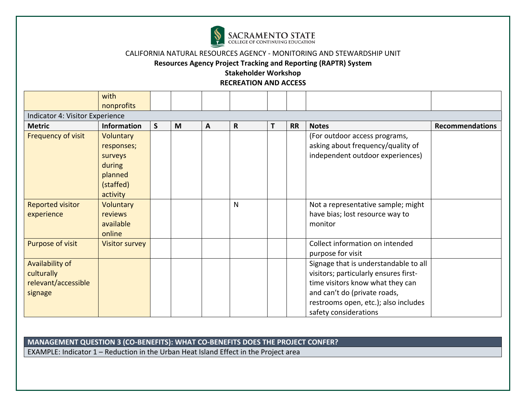

**Resources Agency Project Tracking and Reporting (RAPTR) System** 

### **Stakeholder Workshop RECREATION AND ACCESS**

|                         | with                            |              |   |              |   |   |           |                                       |                        |  |  |  |  |
|-------------------------|---------------------------------|--------------|---|--------------|---|---|-----------|---------------------------------------|------------------------|--|--|--|--|
|                         | nonprofits                      |              |   |              |   |   |           |                                       |                        |  |  |  |  |
|                         | Indicator 4: Visitor Experience |              |   |              |   |   |           |                                       |                        |  |  |  |  |
| <b>Metric</b>           | <b>Information</b>              | $\mathsf{S}$ | M | $\mathbf{A}$ | R | Τ | <b>RR</b> | <b>Notes</b>                          | <b>Recommendations</b> |  |  |  |  |
| Frequency of visit      | <b>Voluntary</b>                |              |   |              |   |   |           | (For outdoor access programs,         |                        |  |  |  |  |
|                         | responses;                      |              |   |              |   |   |           | asking about frequency/quality of     |                        |  |  |  |  |
|                         | surveys                         |              |   |              |   |   |           | independent outdoor experiences)      |                        |  |  |  |  |
|                         | during                          |              |   |              |   |   |           |                                       |                        |  |  |  |  |
|                         | planned                         |              |   |              |   |   |           |                                       |                        |  |  |  |  |
|                         | (staffed)                       |              |   |              |   |   |           |                                       |                        |  |  |  |  |
|                         | activity                        |              |   |              |   |   |           |                                       |                        |  |  |  |  |
| <b>Reported visitor</b> | Voluntary                       |              |   |              | N |   |           | Not a representative sample; might    |                        |  |  |  |  |
| experience              | reviews                         |              |   |              |   |   |           | have bias; lost resource way to       |                        |  |  |  |  |
|                         | available                       |              |   |              |   |   |           | monitor                               |                        |  |  |  |  |
|                         | online                          |              |   |              |   |   |           |                                       |                        |  |  |  |  |
| Purpose of visit        | <b>Visitor survey</b>           |              |   |              |   |   |           | Collect information on intended       |                        |  |  |  |  |
|                         |                                 |              |   |              |   |   |           | purpose for visit                     |                        |  |  |  |  |
| Availability of         |                                 |              |   |              |   |   |           | Signage that is understandable to all |                        |  |  |  |  |
| culturally              |                                 |              |   |              |   |   |           | visitors; particularly ensures first- |                        |  |  |  |  |
| relevant/accessible     |                                 |              |   |              |   |   |           | time visitors know what they can      |                        |  |  |  |  |
| signage                 |                                 |              |   |              |   |   |           | and can't do (private roads,          |                        |  |  |  |  |
|                         |                                 |              |   |              |   |   |           | restrooms open, etc.); also includes  |                        |  |  |  |  |
|                         |                                 |              |   |              |   |   |           | safety considerations                 |                        |  |  |  |  |

# **MANAGEMENT QUESTION 3 (CO-BENEFITS): WHAT CO-BENEFITS DOES THE PROJECT CONFER?**

EXAMPLE: Indicator 1 – Reduction in the Urban Heat Island Effect in the Project area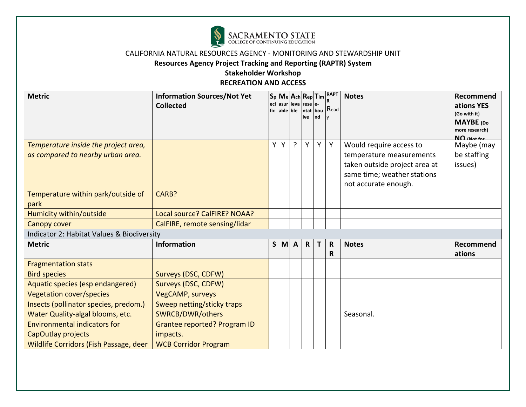

**Resources Agency Project Tracking and Reporting (RAPTR) System** 

| <b>Metric</b>                                                             | <b>Information Sources/Not Yet</b><br><b>Collected</b> |              |   | fic able ble   | eci lasur lieva Irese le-<br>ive | Ind | $ S_p $ Me $ A_{ch} R_{ep} T_{im} ^{RAPT}$<br>ntat bou Read | <b>Notes</b>                                                                                                                                | Recommend<br>ations YES<br>(Go with it)<br><b>MAYBE</b> (Do<br>more research) |
|---------------------------------------------------------------------------|--------------------------------------------------------|--------------|---|----------------|----------------------------------|-----|-------------------------------------------------------------|---------------------------------------------------------------------------------------------------------------------------------------------|-------------------------------------------------------------------------------|
| Temperature inside the project area,<br>as compared to nearby urban area. |                                                        | Y            | Y | $\overline{?}$ | Y                                | Y   | Y                                                           | Would require access to<br>temperature measurements<br>taken outside project area at<br>same time; weather stations<br>not accurate enough. | $\overline{M}\Omega$ (Not for<br>Maybe (may<br>be staffing<br>issues)         |
| Temperature within park/outside of<br>park                                | CARB?                                                  |              |   |                |                                  |     |                                                             |                                                                                                                                             |                                                                               |
| Humidity within/outside                                                   | Local source? CalFIRE? NOAA?                           |              |   |                |                                  |     |                                                             |                                                                                                                                             |                                                                               |
| Canopy cover                                                              | CalFIRE, remote sensing/lidar                          |              |   |                |                                  |     |                                                             |                                                                                                                                             |                                                                               |
| Indicator 2: Habitat Values & Biodiversity                                |                                                        |              |   |                |                                  |     |                                                             |                                                                                                                                             |                                                                               |
| <b>Metric</b>                                                             | <b>Information</b>                                     | <sub>S</sub> | M | $\mathbf{A}$   | $\mathsf{R}$                     | Т   | $\mathsf{R}$<br>R                                           | <b>Notes</b>                                                                                                                                | Recommend<br>ations                                                           |
| <b>Fragmentation stats</b>                                                |                                                        |              |   |                |                                  |     |                                                             |                                                                                                                                             |                                                                               |
| <b>Bird species</b>                                                       | Surveys (DSC, CDFW)                                    |              |   |                |                                  |     |                                                             |                                                                                                                                             |                                                                               |
| Aquatic species (esp endangered)                                          | Surveys (DSC, CDFW)                                    |              |   |                |                                  |     |                                                             |                                                                                                                                             |                                                                               |
| Vegetation cover/species                                                  | <b>VegCAMP, surveys</b>                                |              |   |                |                                  |     |                                                             |                                                                                                                                             |                                                                               |
| Insects (pollinator species, predom.)                                     | Sweep netting/sticky traps                             |              |   |                |                                  |     |                                                             |                                                                                                                                             |                                                                               |
| Water Quality-algal blooms, etc.                                          | SWRCB/DWR/others                                       |              |   |                |                                  |     |                                                             | Seasonal.                                                                                                                                   |                                                                               |
| <b>Environmental indicators for</b><br>CapOutlay projects                 | Grantee reported? Program ID<br>impacts.               |              |   |                |                                  |     |                                                             |                                                                                                                                             |                                                                               |
| Wildlife Corridors (Fish Passage, deer                                    | <b>WCB Corridor Program</b>                            |              |   |                |                                  |     |                                                             |                                                                                                                                             |                                                                               |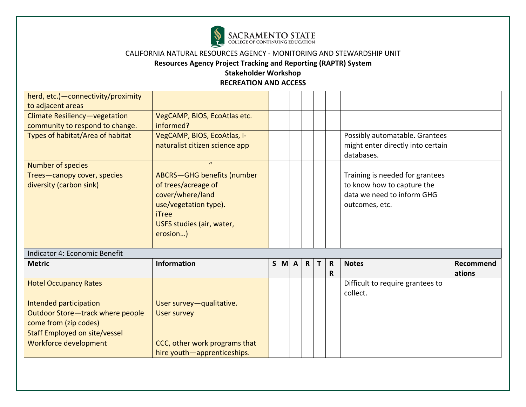

# **Resources Agency Project Tracking and Reporting (RAPTR) System**

| herd, etc.) - connectivity/proximity |                                |              |          |              |   |              |                                                 |           |
|--------------------------------------|--------------------------------|--------------|----------|--------------|---|--------------|-------------------------------------------------|-----------|
| to adjacent areas                    |                                |              |          |              |   |              |                                                 |           |
| Climate Resiliency-vegetation        | VegCAMP, BIOS, EcoAtlas etc.   |              |          |              |   |              |                                                 |           |
| community to respond to change.      | informed?                      |              |          |              |   |              |                                                 |           |
| Types of habitat/Area of habitat     | VegCAMP, BIOS, EcoAtlas, I-    |              |          |              |   |              | Possibly automatable. Grantees                  |           |
|                                      | naturalist citizen science app |              |          |              |   |              | might enter directly into certain<br>databases. |           |
| Number of species                    | $\mathbf{u}$                   |              |          |              |   |              |                                                 |           |
| Trees-canopy cover, species          | ABCRS-GHG benefits (number     |              |          |              |   |              | Training is needed for grantees                 |           |
| diversity (carbon sink)              | of trees/acreage of            |              |          |              |   |              | to know how to capture the                      |           |
|                                      | cover/where/land               |              |          |              |   |              | data we need to inform GHG                      |           |
|                                      | use/vegetation type).          |              |          |              |   |              | outcomes, etc.                                  |           |
|                                      | iTree                          |              |          |              |   |              |                                                 |           |
|                                      | USFS studies (air, water,      |              |          |              |   |              |                                                 |           |
|                                      | erosion)                       |              |          |              |   |              |                                                 |           |
|                                      |                                |              |          |              |   |              |                                                 |           |
| Indicator 4: Economic Benefit        |                                |              |          |              |   |              |                                                 |           |
| <b>Metric</b>                        | <b>Information</b>             | $\mathsf{S}$ | $M \, A$ | $\mathsf{R}$ | т | $\mathsf{R}$ | <b>Notes</b>                                    | Recommend |
|                                      |                                |              |          |              |   | R            |                                                 | ations    |
| <b>Hotel Occupancy Rates</b>         |                                |              |          |              |   |              | Difficult to require grantees to                |           |
|                                      |                                |              |          |              |   |              | collect.                                        |           |
| Intended participation               | User survey-qualitative.       |              |          |              |   |              |                                                 |           |
| Outdoor Store-track where people     | <b>User survey</b>             |              |          |              |   |              |                                                 |           |
| come from (zip codes)                |                                |              |          |              |   |              |                                                 |           |
| <b>Staff Employed on site/vessel</b> |                                |              |          |              |   |              |                                                 |           |
| Workforce development                | CCC, other work programs that  |              |          |              |   |              |                                                 |           |
|                                      | hire youth-apprenticeships.    |              |          |              |   |              |                                                 |           |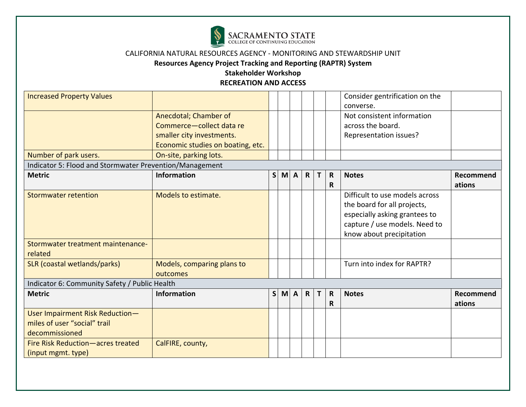

# **Resources Agency Project Tracking and Reporting (RAPTR) System**

| <b>Increased Property Values</b>                        |                                                   |              |          |              |   |             | Consider gentrification on the<br>converse.     |           |
|---------------------------------------------------------|---------------------------------------------------|--------------|----------|--------------|---|-------------|-------------------------------------------------|-----------|
|                                                         | Anecdotal; Chamber of<br>Commerce-collect data re |              |          |              |   |             | Not consistent information<br>across the board. |           |
|                                                         | smaller city investments.                         |              |          |              |   |             | Representation issues?                          |           |
|                                                         | Economic studies on boating, etc.                 |              |          |              |   |             |                                                 |           |
| Number of park users.                                   | On-site, parking lots.                            |              |          |              |   |             |                                                 |           |
| Indicator 5: Flood and Stormwater Prevention/Management |                                                   |              |          |              |   |             |                                                 |           |
| <b>Metric</b>                                           | <b>Information</b>                                | $\mathsf{S}$ | $M \, A$ | $\mathsf{R}$ | Т | $\mathbf R$ | <b>Notes</b>                                    | Recommend |
|                                                         |                                                   |              |          |              |   | R           |                                                 | ations    |
| <b>Stormwater retention</b>                             | Models to estimate.                               |              |          |              |   |             | Difficult to use models across                  |           |
|                                                         |                                                   |              |          |              |   |             | the board for all projects,                     |           |
|                                                         |                                                   |              |          |              |   |             | especially asking grantees to                   |           |
|                                                         |                                                   |              |          |              |   |             | capture / use models. Need to                   |           |
|                                                         |                                                   |              |          |              |   |             | know about precipitation                        |           |
| Stormwater treatment maintenance-                       |                                                   |              |          |              |   |             |                                                 |           |
| related                                                 |                                                   |              |          |              |   |             |                                                 |           |
| SLR (coastal wetlands/parks)                            | Models, comparing plans to                        |              |          |              |   |             | Turn into index for RAPTR?                      |           |
|                                                         | outcomes                                          |              |          |              |   |             |                                                 |           |
| Indicator 6: Community Safety / Public Health           |                                                   |              |          |              |   |             |                                                 |           |
| <b>Metric</b>                                           | <b>Information</b>                                | $\mathsf{S}$ | $M \, A$ | $\mathsf{R}$ | T | $\mathbf R$ | <b>Notes</b>                                    | Recommend |
|                                                         |                                                   |              |          |              |   | R           |                                                 | ations    |
| User Impairment Risk Reduction-                         |                                                   |              |          |              |   |             |                                                 |           |
| miles of user "social" trail                            |                                                   |              |          |              |   |             |                                                 |           |
| decommissioned                                          |                                                   |              |          |              |   |             |                                                 |           |
| Fire Risk Reduction-acres treated                       | CalFIRE, county,                                  |              |          |              |   |             |                                                 |           |
| (input mgmt. type)                                      |                                                   |              |          |              |   |             |                                                 |           |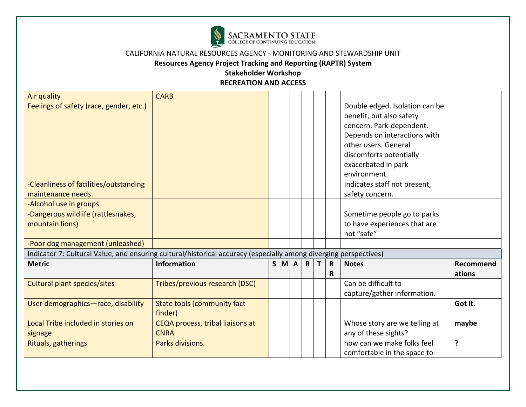

**Resources Agency Project Tracking and Reporting (RAPTR) System** 

#### **Stakeholder Workshop RECREATION AND ACCESS**

Air quality **CARB** Feelings of safety (race, gender, etc.) Double edged. Isolation can be benefit, but also safety concern. Park-dependent. Depends on interactions with other users. General discomforts potentially exacerbated in park environment. -Cleanliness of facilities/outstanding maintenance needs. Indicates staff not present, safety concern. -Alcohol use in groups -Dangerous wildlife (rattlesnakes, mountain lions) Sometime people go to parks to have experiences that are not "safe" -Poor dog management (unleashed) Indicator 7: Cultural Value, and ensuring cultural/historical accuracy (especially among diverging perspectives) **Metric Information S M A R T R R Notes Recommend ations** Cultural plant species/sites Tribes/previous research (DSC) Can be difficult to capture/gather information. User demographics—race, disability  $\parallel$  State tools (community fact finder) **Got it.** Local Tribe included in stories on signage CEQA process, tribal liaisons at **CNRA** Whose story are we telling at any of these sights? **maybe** Rituals, gatherings **Parks divisions.** And Parks divisions. The part of  $\vert$   $\vert$   $\vert$   $\vert$   $\vert$   $\vert$   $\vert$  how can we make folks feel comfortable in the space to **?**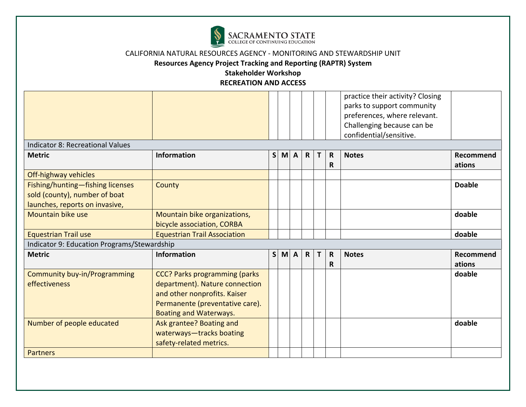

# **Resources Agency Project Tracking and Reporting (RAPTR) System**

|                                             |                                      |              |   |                |              |   |              | practice their activity? Closing<br>parks to support community |               |
|---------------------------------------------|--------------------------------------|--------------|---|----------------|--------------|---|--------------|----------------------------------------------------------------|---------------|
|                                             |                                      |              |   |                |              |   |              | preferences, where relevant.                                   |               |
|                                             |                                      |              |   |                |              |   |              | Challenging because can be                                     |               |
|                                             |                                      |              |   |                |              |   |              | confidential/sensitive.                                        |               |
| <b>Indicator 8: Recreational Values</b>     |                                      |              |   |                |              |   |              |                                                                |               |
| <b>Metric</b>                               | <b>Information</b>                   | $\mathsf{S}$ | M | $\overline{A}$ | $\mathsf{R}$ | т | R            | <b>Notes</b>                                                   | Recommend     |
|                                             |                                      |              |   |                |              |   | R            |                                                                | ations        |
| Off-highway vehicles                        |                                      |              |   |                |              |   |              |                                                                |               |
| Fishing/hunting-fishing licenses            | County                               |              |   |                |              |   |              |                                                                | <b>Doable</b> |
| sold (county), number of boat               |                                      |              |   |                |              |   |              |                                                                |               |
| launches, reports on invasive,              |                                      |              |   |                |              |   |              |                                                                |               |
| <b>Mountain bike use</b>                    | Mountain bike organizations,         |              |   |                |              |   |              |                                                                | doable        |
|                                             | bicycle association, CORBA           |              |   |                |              |   |              |                                                                |               |
| <b>Equestrian Trail use</b>                 | <b>Equestrian Trail Association</b>  |              |   |                |              |   |              |                                                                | doable        |
| Indicator 9: Education Programs/Stewardship |                                      |              |   |                |              |   |              |                                                                |               |
| <b>Metric</b>                               | <b>Information</b>                   | $\mathsf{S}$ |   | M A            | $\mathsf{R}$ | T | $\mathsf{R}$ | <b>Notes</b>                                                   | Recommend     |
|                                             |                                      |              |   |                |              |   | R            |                                                                | ations        |
| Community buy-in/Programming                | <b>CCC? Parks programming (parks</b> |              |   |                |              |   |              |                                                                | doable        |
| effectiveness                               | department). Nature connection       |              |   |                |              |   |              |                                                                |               |
|                                             | and other nonprofits. Kaiser         |              |   |                |              |   |              |                                                                |               |
|                                             | Permanente (preventative care).      |              |   |                |              |   |              |                                                                |               |
|                                             | <b>Boating and Waterways.</b>        |              |   |                |              |   |              |                                                                |               |
| Number of people educated                   | Ask grantee? Boating and             |              |   |                |              |   |              |                                                                | doable        |
|                                             | waterways-tracks boating             |              |   |                |              |   |              |                                                                |               |
|                                             | safety-related metrics.              |              |   |                |              |   |              |                                                                |               |
| <b>Partners</b>                             |                                      |              |   |                |              |   |              |                                                                |               |